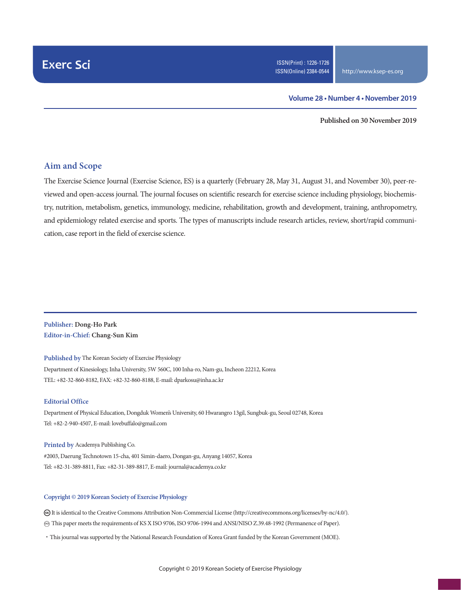#### **Volume 28 • Number 4 • November 2019**

**Published on 30 November 2019**

## **Aim and Scope**

The Exercise Science Journal (Exercise Science, ES) is a quarterly (February 28, May 31, August 31, and November 30), peer-reviewed and open-access journal. The journal focuses on scientific research for exercise science including physiology, biochemistry, nutrition, metabolism, genetics, immunology, medicine, rehabilitation, growth and development, training, anthropometry, and epidemiology related exercise and sports. The types of manuscripts include research articles, review, short/rapid communication, case report in the field of exercise science.

### **Publisher: Dong-Ho Park Editor-in-Chief: Chang-Sun Kim**

**Published by** The Korean Society of Exercise Physiology Department of Kinesiology, Inha University, 5W 560C, 100 Inha-ro, Nam-gu, Incheon 22212, Korea TEL: +82-32-860-8182, FAX: +82-32-860-8188, E-mail: dparkosu@inha.ac.kr

#### **Editorial Office**

Department of Physical Education, Dongduk Women's University, 60 Hwarangro 13gil, Sungbuk-gu, Seoul 02748, Korea Tel: +82-2-940-4507, E-mail: lovebuffalo@gmail.com

**Printed by** Academya Publishing Co. #2003, Daerung Technotown 15-cha, 401 Simin-daero, Dongan-gu, Anyang 14057, Korea Tel: +82-31-389-8811, Fax: +82-31-389-8817, E-mail: journal@academya.co.kr

#### **Copyright © 2019 Korean Society of Exercise Physiology**

 It is identical to the Creative Commons Attribution Non-Commercial License (http://creativecommons.org/licenses/by-nc/4.0/). ∞ This paper meets the requirements of KS X ISO 9706, ISO 9706-1994 and ANSI/NISO Z.39.48-1992 (Permanence of Paper).

·This journal was supported by the National Research Foundation of Korea Grant funded by the Korean Government (MOE).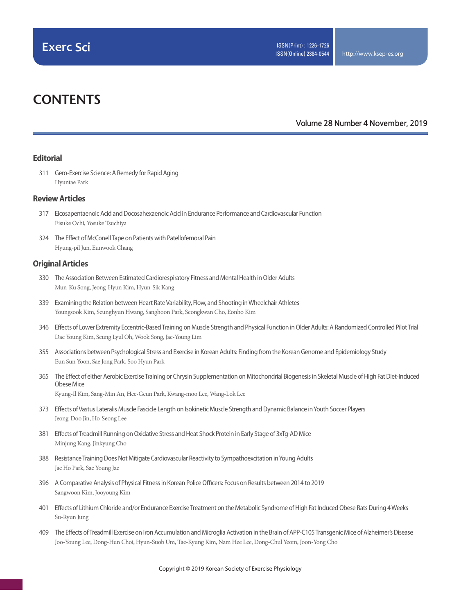# **CONTENTS**

### **Volume 28 Number 4 November, 2019**

### **Editorial**

311 Gero-Exercise Science: A Remedy for Rapid Aging Hyuntae Park

#### **Review Articles**

- 317 Eicosapentaenoic Acid and Docosahexaenoic Acid in Endurance Performance and Cardiovascular Function Eisuke Ochi, Yosuke Tsuchiya
- 324 The Effect of McConell Tape on Patients with Patellofemoral Pain Hyung-pil Jun, Eunwook Chang

#### **Original Articles**

- 330 The Association Between Estimated Cardiorespiratory Fitness and Mental Health in Older Adults Mun-Ku Song, Jeong-Hyun Kim, Hyun-Sik Kang
- 339 Examining the Relation between Heart Rate Variability, Flow, and Shooting in Wheelchair Athletes Youngsook Kim, Seunghyun Hwang, Sanghoon Park, Seongkwan Cho, Eonho Kim
- 346 Effects of Lower Extremity Eccentric-Based Training on Muscle Strength and Physical Function in Older Adults: A Randomized Controlled Pilot Trial Dae Young Kim, Seung Lyul Oh, Wook Song, Jae-Young Lim
- 355 Associations between Psychological Stress and Exercise in Korean Adults: Finding from the Korean Genome and Epidemiology Study Eun Sun Yoon, Sae Jong Park, Soo Hyun Park
- 365 The Effect of either Aerobic Exercise Training or Chrysin Supplementation on Mitochondrial Biogenesis in Skeletal Muscle of High Fat Diet-Induced Obese Mice Kyung-Il Kim, Sang-Min An, Hee-Geun Park, Kwang-moo Lee, Wang-Lok Lee
- 373 Effects of Vastus Lateralis Muscle Fascicle Length on Isokinetic Muscle Strength and Dynamic Balance in Youth Soccer Players Jeong-Doo Jin, Ho-Seong Lee
- 381 Effects of Treadmill Running on Oxidative Stress and Heat Shock Protein in Early Stage of 3xTg-AD Mice Minjung Kang, Jinkyung Cho
- 388 Resistance Training Does Not Mitigate Cardiovascular Reactivity to Sympathoexcitation in Young Adults Jae Ho Park, Sae Young Jae
- 396 A Comparative Analysis of Physical Fitness in Korean Police Officers: Focus on Results between 2014 to 2019 Sangwoon Kim, Jooyoung Kim
- 401 Effects of Lithium Chloride and/or Endurance Exercise Treatment on the Metabolic Syndrome of High Fat Induced Obese Rats During 4 Weeks Su-Ryun Jung
- 409 The Effects of Treadmill Exercise on Iron Accumulation and Microglia Activation in the Brain of APP-C105 Transgenic Mice of Alzheimer's Disease Joo-Young Lee, Dong-Hun Choi, Hyun-Suob Um, Tae-Kyung Kim, Nam Hee Lee, Dong-Chul Yeom, Joon-Yong Cho